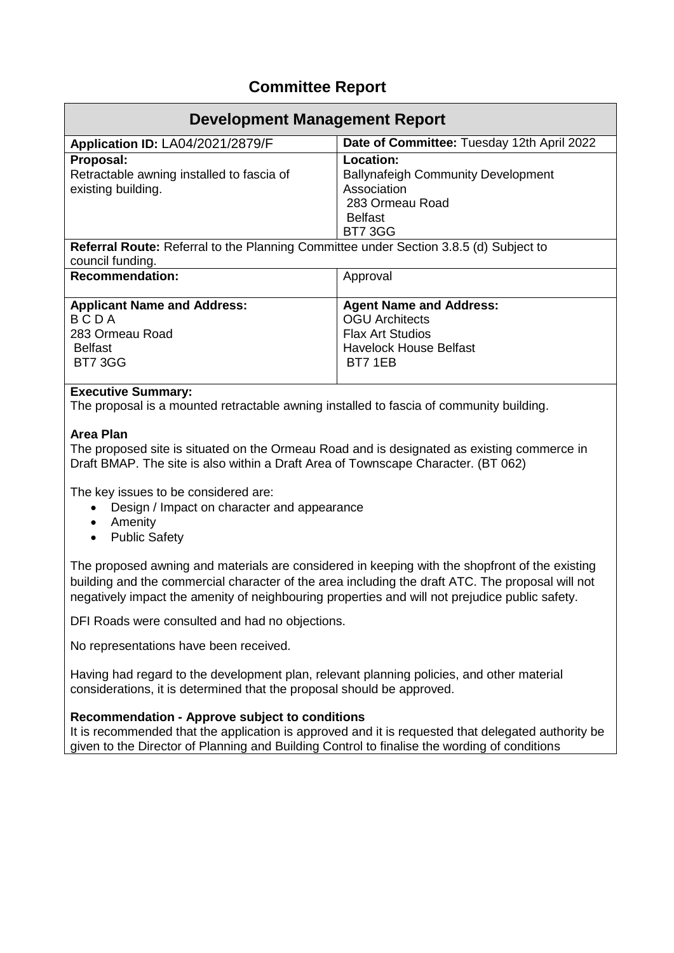## **Committee Report**

| Development Management Report                                                                                                                                                |                                                                                                                                |  |
|------------------------------------------------------------------------------------------------------------------------------------------------------------------------------|--------------------------------------------------------------------------------------------------------------------------------|--|
| <b>Application ID: LA04/2021/2879/F</b>                                                                                                                                      | Date of Committee: Tuesday 12th April 2022                                                                                     |  |
| Proposal:<br>Retractable awning installed to fascia of<br>existing building.<br><b>Referral Route:</b> Referral to the Planning Committee under Section 3.8.5 (d) Subject to | Location:<br><b>Ballynafeigh Community Development</b><br>Association<br>283 Ormeau Road<br><b>Belfast</b><br><b>BT7 3GG</b>   |  |
| council funding.                                                                                                                                                             |                                                                                                                                |  |
| <b>Recommendation:</b>                                                                                                                                                       | Approval                                                                                                                       |  |
| <b>Applicant Name and Address:</b><br>BCDA<br>283 Ormeau Road<br><b>Belfast</b><br><b>BT7 3GG</b>                                                                            | <b>Agent Name and Address:</b><br><b>OGU Architects</b><br><b>Flax Art Studios</b><br><b>Havelock House Belfast</b><br>BT7 1EB |  |

## **Executive Summary:**

The proposal is a mounted retractable awning installed to fascia of community building.

## **Area Plan**

The proposed site is situated on the Ormeau Road and is designated as existing commerce in Draft BMAP. The site is also within a Draft Area of Townscape Character. (BT 062)

The key issues to be considered are:

- Design / Impact on character and appearance
- Amenity
- Public Safety

The proposed awning and materials are considered in keeping with the shopfront of the existing building and the commercial character of the area including the draft ATC. The proposal will not negatively impact the amenity of neighbouring properties and will not prejudice public safety.

DFI Roads were consulted and had no objections.

No representations have been received.

Having had regard to the development plan, relevant planning policies, and other material considerations, it is determined that the proposal should be approved.

## **Recommendation - Approve subject to conditions**

It is recommended that the application is approved and it is requested that delegated authority be given to the Director of Planning and Building Control to finalise the wording of conditions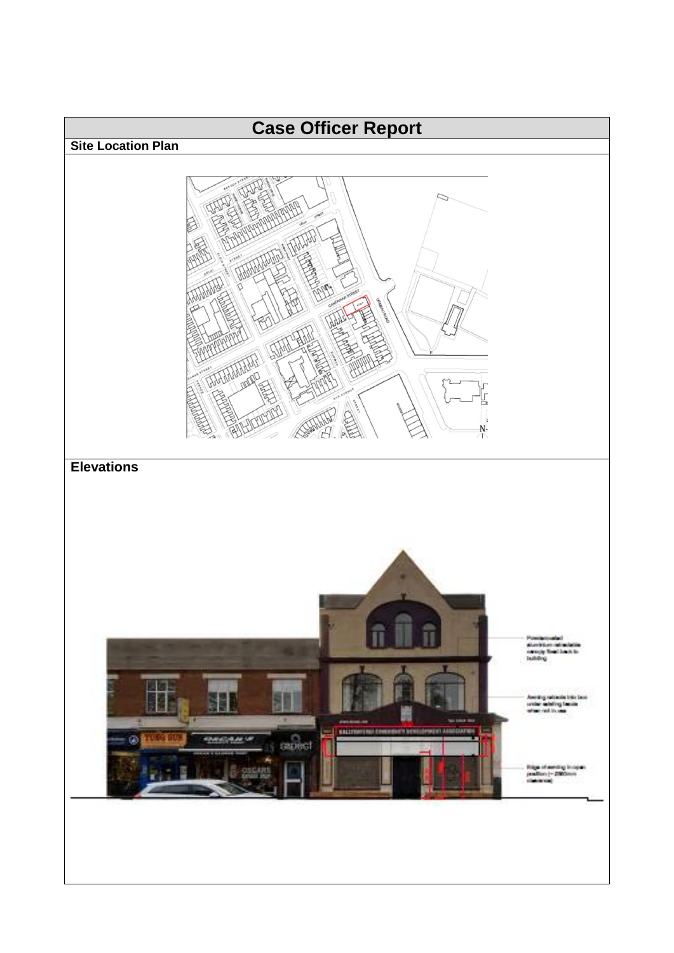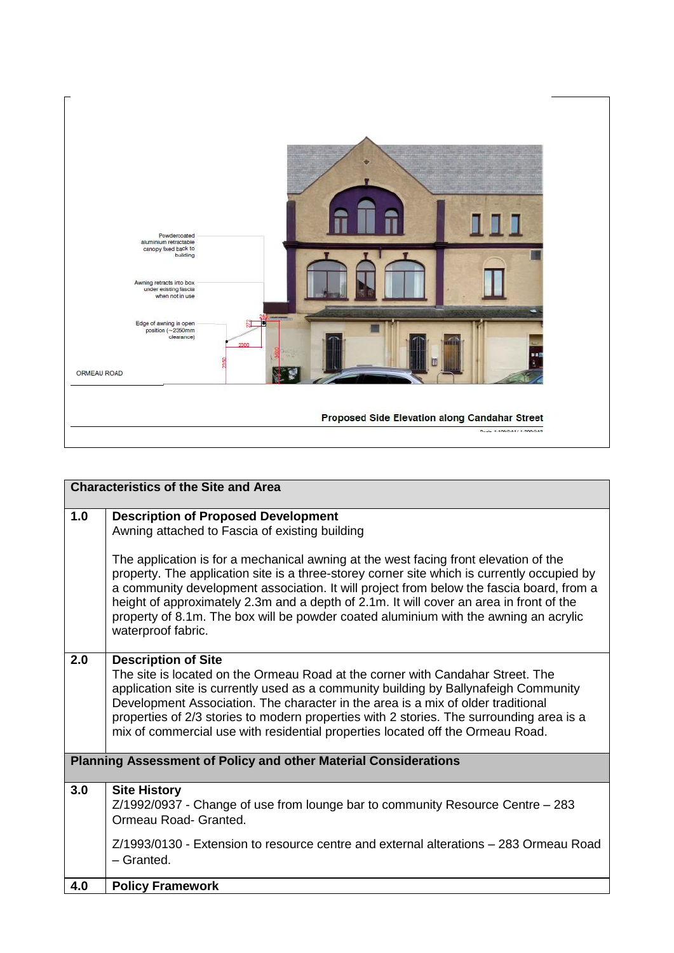

|     | <b>Characteristics of the Site and Area</b>                                                                                                                                                                                                                                                                                                                                                                                                                                              |
|-----|------------------------------------------------------------------------------------------------------------------------------------------------------------------------------------------------------------------------------------------------------------------------------------------------------------------------------------------------------------------------------------------------------------------------------------------------------------------------------------------|
| 1.0 | <b>Description of Proposed Development</b><br>Awning attached to Fascia of existing building                                                                                                                                                                                                                                                                                                                                                                                             |
|     | The application is for a mechanical awning at the west facing front elevation of the<br>property. The application site is a three-storey corner site which is currently occupied by<br>a community development association. It will project from below the fascia board, from a<br>height of approximately 2.3m and a depth of 2.1m. It will cover an area in front of the<br>property of 8.1m. The box will be powder coated aluminium with the awning an acrylic<br>waterproof fabric. |
| 2.0 | <b>Description of Site</b><br>The site is located on the Ormeau Road at the corner with Candahar Street. The<br>application site is currently used as a community building by Ballynafeigh Community<br>Development Association. The character in the area is a mix of older traditional<br>properties of 2/3 stories to modern properties with 2 stories. The surrounding area is a<br>mix of commercial use with residential properties located off the Ormeau Road.                   |
|     | <b>Planning Assessment of Policy and other Material Considerations</b>                                                                                                                                                                                                                                                                                                                                                                                                                   |
| 3.0 | <b>Site History</b><br>$Z/1992/0937$ - Change of use from lounge bar to community Resource Centre $-283$<br>Ormeau Road- Granted.                                                                                                                                                                                                                                                                                                                                                        |
|     | Z/1993/0130 - Extension to resource centre and external alterations – 283 Ormeau Road<br>$-$ Granted.                                                                                                                                                                                                                                                                                                                                                                                    |
| 4.0 | <b>Policy Framework</b>                                                                                                                                                                                                                                                                                                                                                                                                                                                                  |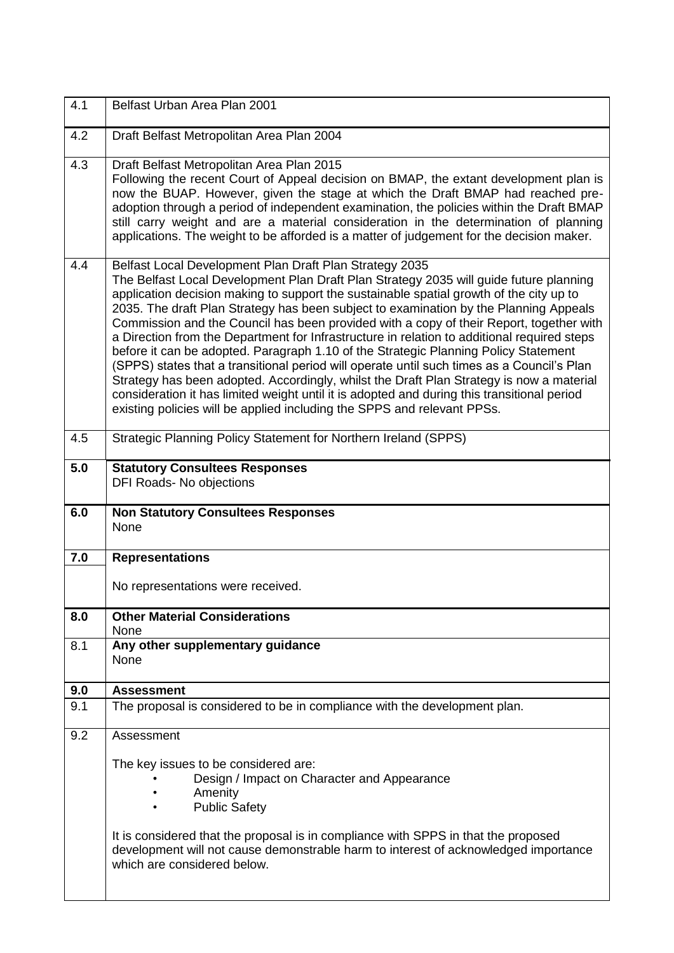| 4.1 | Belfast Urban Area Plan 2001                                                                                                                                                                                                                                                                                                                                                                                                                                                                                                                                                                                                                                                                                                                                                                                                                                                                                                                                                               |
|-----|--------------------------------------------------------------------------------------------------------------------------------------------------------------------------------------------------------------------------------------------------------------------------------------------------------------------------------------------------------------------------------------------------------------------------------------------------------------------------------------------------------------------------------------------------------------------------------------------------------------------------------------------------------------------------------------------------------------------------------------------------------------------------------------------------------------------------------------------------------------------------------------------------------------------------------------------------------------------------------------------|
| 4.2 | Draft Belfast Metropolitan Area Plan 2004                                                                                                                                                                                                                                                                                                                                                                                                                                                                                                                                                                                                                                                                                                                                                                                                                                                                                                                                                  |
| 4.3 | Draft Belfast Metropolitan Area Plan 2015<br>Following the recent Court of Appeal decision on BMAP, the extant development plan is<br>now the BUAP. However, given the stage at which the Draft BMAP had reached pre-<br>adoption through a period of independent examination, the policies within the Draft BMAP<br>still carry weight and are a material consideration in the determination of planning<br>applications. The weight to be afforded is a matter of judgement for the decision maker.                                                                                                                                                                                                                                                                                                                                                                                                                                                                                      |
| 4.4 | Belfast Local Development Plan Draft Plan Strategy 2035<br>The Belfast Local Development Plan Draft Plan Strategy 2035 will guide future planning<br>application decision making to support the sustainable spatial growth of the city up to<br>2035. The draft Plan Strategy has been subject to examination by the Planning Appeals<br>Commission and the Council has been provided with a copy of their Report, together with<br>a Direction from the Department for Infrastructure in relation to additional required steps<br>before it can be adopted. Paragraph 1.10 of the Strategic Planning Policy Statement<br>(SPPS) states that a transitional period will operate until such times as a Council's Plan<br>Strategy has been adopted. Accordingly, whilst the Draft Plan Strategy is now a material<br>consideration it has limited weight until it is adopted and during this transitional period<br>existing policies will be applied including the SPPS and relevant PPSs. |
| 4.5 | Strategic Planning Policy Statement for Northern Ireland (SPPS)                                                                                                                                                                                                                                                                                                                                                                                                                                                                                                                                                                                                                                                                                                                                                                                                                                                                                                                            |
| 5.0 | <b>Statutory Consultees Responses</b><br>DFI Roads- No objections                                                                                                                                                                                                                                                                                                                                                                                                                                                                                                                                                                                                                                                                                                                                                                                                                                                                                                                          |
| 6.0 | <b>Non Statutory Consultees Responses</b><br>None                                                                                                                                                                                                                                                                                                                                                                                                                                                                                                                                                                                                                                                                                                                                                                                                                                                                                                                                          |
| 7.0 | <b>Representations</b>                                                                                                                                                                                                                                                                                                                                                                                                                                                                                                                                                                                                                                                                                                                                                                                                                                                                                                                                                                     |
|     | No representations were received.                                                                                                                                                                                                                                                                                                                                                                                                                                                                                                                                                                                                                                                                                                                                                                                                                                                                                                                                                          |
| 8.0 | <b>Other Material Considerations</b><br>None                                                                                                                                                                                                                                                                                                                                                                                                                                                                                                                                                                                                                                                                                                                                                                                                                                                                                                                                               |
| 8.1 | Any other supplementary guidance<br><b>None</b>                                                                                                                                                                                                                                                                                                                                                                                                                                                                                                                                                                                                                                                                                                                                                                                                                                                                                                                                            |
| 9.0 | <b>Assessment</b>                                                                                                                                                                                                                                                                                                                                                                                                                                                                                                                                                                                                                                                                                                                                                                                                                                                                                                                                                                          |
| 9.1 | The proposal is considered to be in compliance with the development plan.                                                                                                                                                                                                                                                                                                                                                                                                                                                                                                                                                                                                                                                                                                                                                                                                                                                                                                                  |
| 9.2 | Assessment                                                                                                                                                                                                                                                                                                                                                                                                                                                                                                                                                                                                                                                                                                                                                                                                                                                                                                                                                                                 |
|     | The key issues to be considered are:<br>Design / Impact on Character and Appearance<br>Amenity<br><b>Public Safety</b><br>It is considered that the proposal is in compliance with SPPS in that the proposed<br>development will not cause demonstrable harm to interest of acknowledged importance<br>which are considered below.                                                                                                                                                                                                                                                                                                                                                                                                                                                                                                                                                                                                                                                         |
|     |                                                                                                                                                                                                                                                                                                                                                                                                                                                                                                                                                                                                                                                                                                                                                                                                                                                                                                                                                                                            |